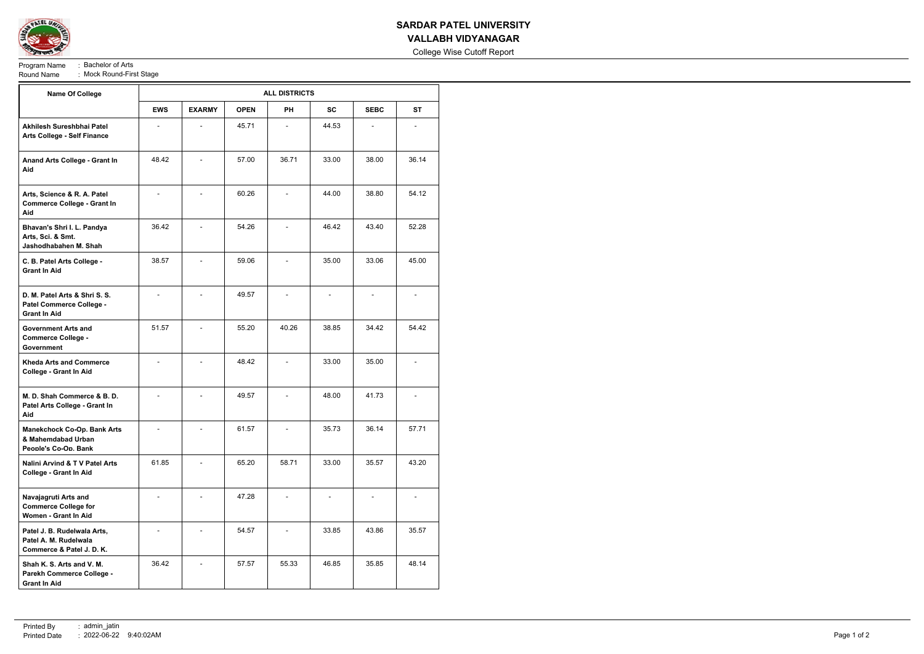

## **SARDAR PATEL UNIVERSITY VALLABH VIDYANAGAR**

College Wise Cutoff Report

Program Name : Bachelor of Arts<br>Round Name : Mock Round-Firs Round-First Stage<br>Round-First Stage

| <b>Name Of College</b>                                                            | <b>ALL DISTRICTS</b> |                          |             |                |                          |                          |           |  |
|-----------------------------------------------------------------------------------|----------------------|--------------------------|-------------|----------------|--------------------------|--------------------------|-----------|--|
|                                                                                   | <b>EWS</b>           | <b>EXARMY</b>            | <b>OPEN</b> | <b>PH</b>      | <b>SC</b>                | <b>SEBC</b>              | <b>ST</b> |  |
| Akhilesh Sureshbhai Patel<br><b>Arts College - Self Finance</b>                   |                      |                          | 45.71       |                | 44.53                    |                          |           |  |
| Anand Arts College - Grant In<br>Aid                                              | 48.42                |                          | 57.00       | 36.71          | 33.00                    | 38.00                    | 36.14     |  |
| Arts, Science & R. A. Patel<br><b>Commerce College - Grant In</b><br>Aid          |                      | $\blacksquare$           | 60.26       |                | 44.00                    | 38.80                    | 54.12     |  |
| Bhavan's Shri I. L. Pandya<br>Arts, Sci. & Smt.<br>Jashodhabahen M. Shah          | 36.42                |                          | 54.26       |                | 46.42                    | 43.40                    | 52.28     |  |
| C. B. Patel Arts College -<br><b>Grant In Aid</b>                                 | 38.57                |                          | 59.06       |                | 35.00                    | 33.06                    | 45.00     |  |
| D. M. Patel Arts & Shri S. S.<br>Patel Commerce College -<br><b>Grant In Aid</b>  |                      |                          | 49.57       |                |                          |                          |           |  |
| <b>Government Arts and</b><br><b>Commerce College -</b><br><b>Government</b>      | 51.57                |                          | 55.20       | 40.26          | 38.85                    | 34.42                    | 54.42     |  |
| <b>Kheda Arts and Commerce</b><br>College - Grant In Aid                          |                      |                          | 48.42       |                | 33.00                    | 35.00                    |           |  |
| M. D. Shah Commerce & B. D.<br>Patel Arts College - Grant In<br>Aid               |                      |                          | 49.57       |                | 48.00                    | 41.73                    |           |  |
| <b>Manekchock Co-Op. Bank Arts</b><br>& Mahemdabad Urban<br>People's Co-Op. Bank  |                      |                          | 61.57       |                | 35.73                    | 36.14                    | 57.71     |  |
| Nalini Arvind & T V Patel Arts<br><b>College - Grant In Aid</b>                   | 61.85                |                          | 65.20       | 58.71          | 33.00                    | 35.57                    | 43.20     |  |
| Navajagruti Arts and<br><b>Commerce College for</b><br>Women - Grant In Aid       | $\overline{a}$       |                          | 47.28       | $\blacksquare$ | $\overline{\phantom{a}}$ | $\overline{\phantom{a}}$ |           |  |
| Patel J. B. Rudelwala Arts,<br>Patel A. M. Rudelwala<br>Commerce & Patel J. D. K. |                      | $\overline{\phantom{0}}$ | 54.57       |                | 33.85                    | 43.86                    | 35.57     |  |
| Shah K. S. Arts and V. M.<br>Parekh Commerce College -<br><b>Grant In Aid</b>     | 36.42                |                          | 57.57       | 55.33          | 46.85                    | 35.85                    | 48.14     |  |